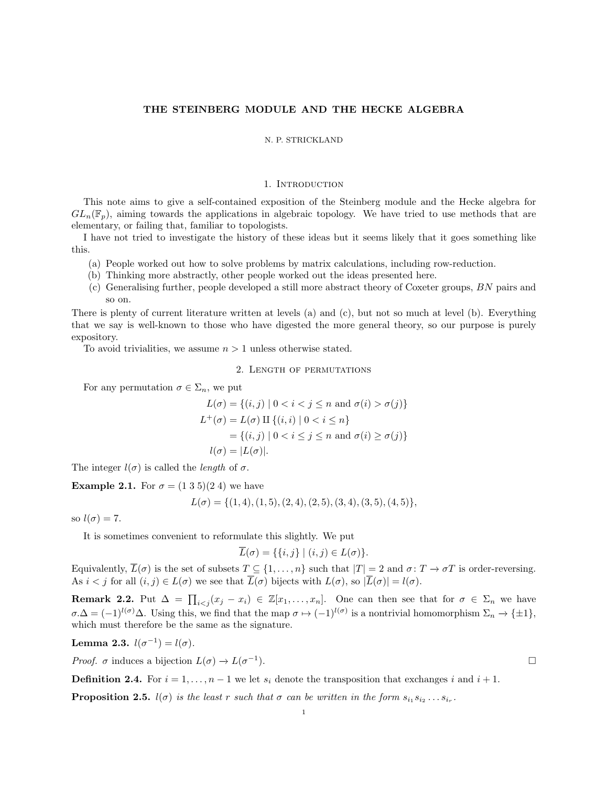# THE STEINBERG MODULE AND THE HECKE ALGEBRA

### N. P. STRICKLAND

# 1. INTRODUCTION

This note aims to give a self-contained exposition of the Steinberg module and the Hecke algebra for  $GL_n(\mathbb{F}_p)$ , aiming towards the applications in algebraic topology. We have tried to use methods that are elementary, or failing that, familiar to topologists.

I have not tried to investigate the history of these ideas but it seems likely that it goes something like this.

- (a) People worked out how to solve problems by matrix calculations, including row-reduction.
- (b) Thinking more abstractly, other people worked out the ideas presented here.
- (c) Generalising further, people developed a still more abstract theory of Coxeter groups, BN pairs and so on.

There is plenty of current literature written at levels (a) and (c), but not so much at level (b). Everything that we say is well-known to those who have digested the more general theory, so our purpose is purely expository.

To avoid trivialities, we assume  $n > 1$  unless otherwise stated.

2. Length of permutations

For any permutation  $\sigma \in \Sigma_n$ , we put

$$
L(\sigma) = \{(i, j) \mid 0 < i < j \le n \text{ and } \sigma(i) > \sigma(j)\}
$$
\n
$$
L^+(\sigma) = L(\sigma) \amalg \{(i, i) \mid 0 < i \le n\}
$$
\n
$$
= \{(i, j) \mid 0 < i \le j \le n \text{ and } \sigma(i) \ge \sigma(j)\}
$$
\n
$$
l(\sigma) = |L(\sigma)|.
$$

The integer  $l(\sigma)$  is called the *length* of  $\sigma$ .

**Example 2.1.** For  $\sigma = (1\ 3\ 5)(2\ 4)$  we have

$$
L(\sigma) = \{(1,4), (1,5), (2,4), (2,5), (3,4), (3,5), (4,5)\},\
$$

so  $l(\sigma) = 7$ .

It is sometimes convenient to reformulate this slightly. We put

 $\overline{L}(\sigma) = \{ \{i, j\} \mid (i, j) \in L(\sigma) \}.$ 

Equivalently,  $\overline{L}(\sigma)$  is the set of subsets  $T \subseteq \{1, \ldots, n\}$  such that  $|T| = 2$  and  $\sigma \colon T \to \sigma T$  is order-reversing. As  $i < j$  for all  $(i, j) \in L(\sigma)$  we see that  $\overline{L}(\sigma)$  bijects with  $L(\sigma)$ , so  $|\overline{L}(\sigma)| = l(\sigma)$ .

**Remark 2.2.** Put  $\Delta = \prod_{i < j} (x_j - x_i) \in \mathbb{Z}[x_1, \ldots, x_n]$ . One can then see that for  $\sigma \in \Sigma_n$  we have  $\sigma.\Delta = (-1)^{l(\sigma)}\Delta$ . Using this, we find that the map  $\sigma \mapsto (-1)^{l(\sigma)}$  is a nontrivial homomorphism  $\Sigma_n \to {\pm 1}$ , which must therefore be the same as the signature.

Lemma 2.3.  $l(\sigma^{-1}) = l(\sigma)$ .

*Proof.*  $\sigma$  induces a bijection  $L(\sigma) \to L(\sigma^{-1})$ 

**Definition 2.4.** For  $i = 1, \ldots, n-1$  we let  $s_i$  denote the transposition that exchanges i and  $i + 1$ .

<span id="page-0-0"></span>**Proposition 2.5.**  $l(\sigma)$  is the least r such that  $\sigma$  can be written in the form  $s_{i_1} s_{i_2} \ldots s_{i_r}$ .

 $\Box$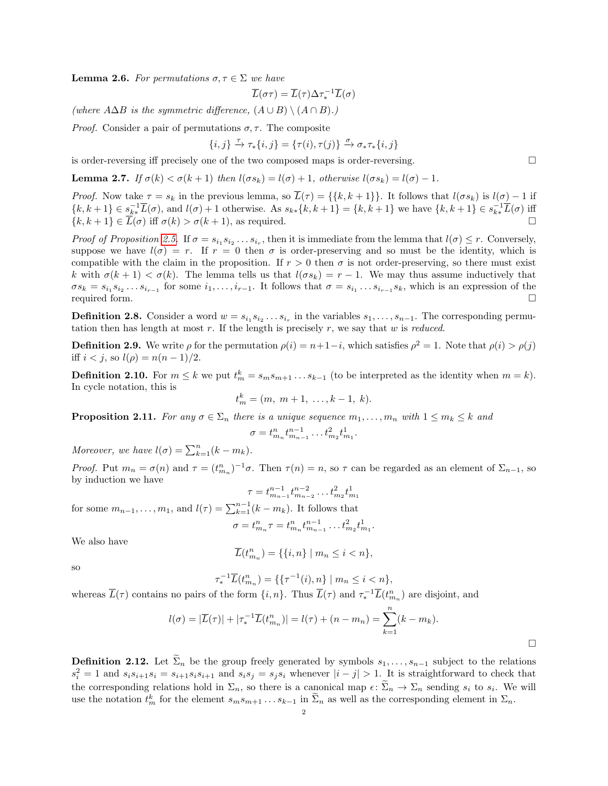<span id="page-1-1"></span>**Lemma 2.6.** For permutations  $\sigma, \tau \in \Sigma$  we have

$$
\overline{L}(\sigma\tau)=\overline{L}(\tau)\Delta\tau_*^{-1}\overline{L}(\sigma)
$$

(where  $A\Delta B$  is the symmetric difference,  $(A\cup B)\setminus (A\cap B)$ .)

*Proof.* Consider a pair of permutations  $\sigma$ ,  $\tau$ . The composite

$$
\{i,j\} \xrightarrow{\tau} \tau_*\{i,j\} = \{\tau(i),\tau(j)\} \xrightarrow{\sigma} \sigma_*\tau_*\{i,j\}
$$

is order-reversing iff precisely one of the two composed maps is order-reversing.

**Lemma 2.7.** If  $\sigma(k) < \sigma(k+1)$  then  $l(\sigma s_k) = l(\sigma) + 1$ , otherwise  $l(\sigma s_k) = l(\sigma) - 1$ .

*Proof.* Now take  $\tau = s_k$  in the previous lemma, so  $\overline{L}(\tau) = \{\{k, k+1\}\}\.$  It follows that  $l(\sigma s_k)$  is  $l(\sigma) - 1$  if  ${k, k+1} \in s_{k*}^{-1}\overline{L}(\sigma)$ , and  $l(\sigma) + 1$  otherwise. As  $s_{k*}{k, k+1} = {k, k+1}$  we have  ${k, k+1} \in s_{k*}^{-1}\overline{L}(\sigma)$  iff  ${k, k+1} \in L(\sigma)$  iff  $\sigma(k) > \sigma(k+1)$ , as required.

Proof of Proposition [2.5.](#page-0-0) If  $\sigma = s_{i_1} s_{i_2} \ldots s_{i_r}$ , then it is immediate from the lemma that  $l(\sigma) \leq r$ . Conversely, suppose we have  $l(\sigma) = r$ . If  $r = 0$  then  $\sigma$  is order-preserving and so must be the identity, which is compatible with the claim in the proposition. If  $r > 0$  then  $\sigma$  is not order-preserving, so there must exist k with  $\sigma(k+1) < \sigma(k)$ . The lemma tells us that  $l(\sigma s_k) = r-1$ . We may thus assume inductively that  $\sigma s_k = s_{i_1} s_{i_2} \dots s_{i_{r-1}}$  for some  $i_1, \dots, i_{r-1}$ . It follows that  $\sigma = s_{i_1} \dots s_{i_{r-1}} s_k$ , which is an expression of the required form.

**Definition 2.8.** Consider a word  $w = s_{i_1} s_{i_2} \dots s_{i_r}$  in the variables  $s_1, \dots, s_{n-1}$ . The corresponding permutation then has length at most  $r$ . If the length is precisely  $r$ , we say that  $w$  is reduced.

<span id="page-1-2"></span>**Definition 2.9.** We write  $\rho$  for the permutation  $\rho(i) = n+1-i$ , which satisfies  $\rho^2 = 1$ . Note that  $\rho(i) > \rho(j)$ iff  $i < j$ , so  $l(\rho) = n(n-1)/2$ .

**Definition 2.10.** For  $m \leq k$  we put  $t_m^k = s_m s_{m+1} \dots s_{k-1}$  (to be interpreted as the identity when  $m = k$ ). In cycle notation, this is

$$
t_m^k = (m, m+1, \ldots, k-1, k).
$$

<span id="page-1-0"></span>**Proposition 2.11.** For any  $\sigma \in \Sigma_n$  there is a unique sequence  $m_1, \ldots, m_n$  with  $1 \leq m_k \leq k$  and

$$
\sigma = t_{m_n}^n t_{m_{n-1}}^{n-1} \dots t_{m_2}^2 t_{m_1}^1
$$

Moreover, we have  $l(\sigma) = \sum_{k=1}^{n} (k - m_k)$ .

Proof. Put  $m_n = \sigma(n)$  and  $\tau = (t_{m_n}^n)^{-1}\sigma$ . Then  $\tau(n) = n$ , so  $\tau$  can be regarded as an element of  $\Sigma_{n-1}$ , so by induction we have

$$
\tau = t_{m_{n-1}}^{n-1} t_{m_{n-2}}^{n-2} \dots t_{m_2}^2 t_{m_1}^1
$$

for some  $m_{n-1}, \ldots, m_1$ , and  $l(\tau) = \sum_{k=1}^{n-1} (k - m_k)$ . It follows that

$$
\sigma = t_{m_n}^n \tau = t_{m_n}^n t_{m_{n-1}}^{n-1} \dots t_{m_2}^2 t_{m_1}^1.
$$

We also have

$$
\overline{L}(t^n_{m_n})=\{\{i,n\}\mid m_n\leq i
$$

so

$$
\tau_*^{-1}\overline{L}(t_{m_n}^n) = \{ \{\tau^{-1}(i), n\} \mid m_n \le i < n \},
$$

whereas  $\overline{L}(\tau)$  contains no pairs of the form  $\{i, n\}$ . Thus  $\overline{L}(\tau)$  and  $\tau_*^{-1}\overline{L}(t_{m_n}^n)$  are disjoint, and

$$
l(\sigma) = |\overline{L}(\tau)| + |\tau_*^{-1}\overline{L}(t_{m_n}^n)| = l(\tau) + (n - m_n) = \sum_{k=1}^n (k - m_k).
$$

.

**Definition 2.12.** Let  $\tilde{\Sigma}_n$  be the group freely generated by symbols  $s_1, \ldots, s_{n-1}$  subject to the relations  $s_i^2 = 1$  and  $s_i s_{i+1} s_i = s_{i+1} s_i s_{i+1}$  and  $s_i s_j = s_j s_i$  whenever  $|i - j| > 1$ . It is straightforward to check that the corresponding relations hold in  $\Sigma_n$ , so there is a canonical map  $\epsilon: \Sigma_n \to \Sigma_n$  sending  $s_i$  to  $s_i$ . We will use the notation  $t_m^k$  for the element  $s_m s_{m+1} \dots s_{k-1}$  in  $\tilde{\Sigma}_n$  as well as the corresponding element in  $\Sigma_n$ .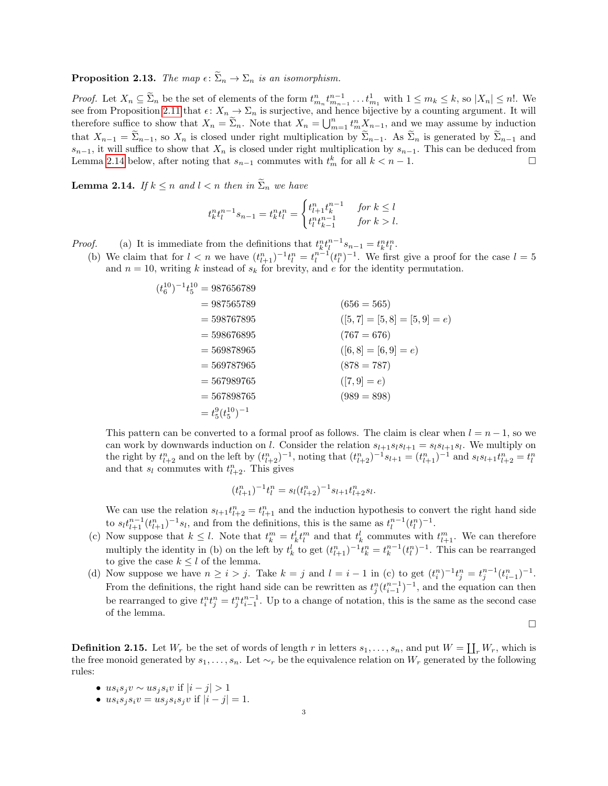**Proposition 2.13.** The map  $\epsilon: \widetilde{\Sigma}_n \to \Sigma_n$  is an isomorphism.

*Proof.* Let  $X_n \subseteq \widetilde{\Sigma}_n$  be the set of elements of the form  $t_{m_n}^n t_{m_{n-1}}^{n-1} \dots t_{m_1}^1$  with  $1 \leq m_k \leq k$ , so  $|X_n| \leq n!$ . We see from Proposition [2.11](#page-1-0) that  $\epsilon: X_n \to \Sigma_n$  is surjective, and hence bijective by a counting argument. It will therefore suffice to show that  $X_n = \tilde{\Sigma}_n$ . Note that  $X_n = \bigcup_{m=1}^n t_m^n X_{n-1}$ , and we may assume by induction that  $X_{n-1} = \Sigma_{n-1}$ , so  $X_n$  is closed under right multiplication by  $\widetilde{\Sigma}_{n-1}$ . As  $\widetilde{\Sigma}_n$  is generated by  $\widetilde{\Sigma}_{n-1}$  and  $s_{n-1}$ , it will suffice to show that  $X_n$  is closed under right multiplication by  $s_{n-1}$ . This can be deduced from Lemma [2.14](#page-2-0) below, after noting that  $s_{n-1}$  commutes with  $t_m^k$  for all  $k < n-1$ .

<span id="page-2-0"></span>**Lemma 2.14.** If  $k \leq n$  and  $l < n$  then in  $\tilde{\Sigma}_n$  we have

$$
t_k^n t_l^{n-1} s_{n-1} = t_k^n t_l^n = \begin{cases} t_{l+1}^n t_k^{n-1} & \text{for } k \le l \\ t_l^n t_{k-1}^{n-1} & \text{for } k > l. \end{cases}
$$

*Proof.* (a) It is immediate from the definitions that  $t_k^n t_l^{n-1} s_{n-1} = t_k^n t_l^n$ .

(b) We claim that for  $l < n$  we have  $(t_{l+1}^n)^{-1}t_l^n = t_l^{n-1}(t_l^n)^{-1}$ . We first give a proof for the case  $l = 5$ and  $n = 10$ , writing k instead of  $s_k$  for brevity, and e for the identity permutation.

| $(656 = 565)$                    |
|----------------------------------|
| $([5, 7] = [5, 8] = [5, 9] = e)$ |
| $(767 = 676)$                    |
| $([6, 8] = [6, 9] = e)$          |
| $(878 = 787)$                    |
| $([7, 9] = e)$                   |
| $(989 = 898)$                    |
|                                  |
|                                  |

This pattern can be converted to a formal proof as follows. The claim is clear when  $l = n - 1$ , so we can work by downwards induction on l. Consider the relation  $s_{l+1}s_ls_{l+1} = s_ls_{l+1}s_l$ . We multiply on the right by  $t_{l+2}^n$  and on the left by  $(t_{l+2}^n)^{-1}$ , noting that  $(t_{l+2}^n)^{-1} s_{l+1} = (t_{l+1}^n)^{-1}$  and  $s_l s_{l+1} t_{l+2}^n = t_l^n$ and that  $s_l$  commutes with  $t_{l+2}^n$ . This gives

$$
(t_{l+1}^n)^{-1}t_l^n = s_l(t_{l+2}^n)^{-1} s_{l+1}t_{l+2}^n s_l.
$$

We can use the relation  $s_{l+1}t_{l+2}^n = t_{l+1}^n$  and the induction hypothesis to convert the right hand side to  $s_l t_{l+1}^{n-1}(t_{l+1}^n)^{-1} s_l$ , and from the definitions, this is the same as  $t_l^{n-1}(t_l^n)^{-1}$ .

- (c) Now suppose that  $k \leq l$ . Note that  $t_k^m = t_k^l t_l^m$  and that  $t_k^l$  commutes with  $t_{l+1}^m$ . We can therefore multiply the identity in (b) on the left by  $t_k^l$  to get  $(t_{l+1}^n)^{-1}t_k^n = t_k^{n-1}(t_l^n)^{-1}$ . This can be rearranged to give the case  $k \leq l$  of the lemma.
- (d) Now suppose we have  $n \geq i > j$ . Take  $k = j$  and  $l = i 1$  in (c) to get  $(t_i^n)^{-1} t_j^n = t_j^{n-1} (t_{i-1}^n)^{-1}$ . From the definitions, the right hand side can be rewritten as  $t_j^n(t_{i-1}^{n-1})^{-1}$ , and the equation can then be rearranged to give  $t_i^n t_j^n = t_j^n t_{i-1}^{n-1}$ . Up to a change of notation, this is the same as the second case of the lemma.

 $\Box$ 

**Definition 2.15.** Let  $W_r$  be the set of words of length r in letters  $s_1, \ldots, s_n$ , and put  $W = \coprod_r W_r$ , which is the free monoid generated by  $s_1, \ldots, s_n$ . Let  $\sim_r$  be the equivalence relation on  $W_r$  generated by the following rules:

- $us_i s_j v \sim u s_j s_i v$  if  $|i j| > 1$
- $us_i s_j s_i v = us_j s_i s_j v$  if  $|i j| = 1$ .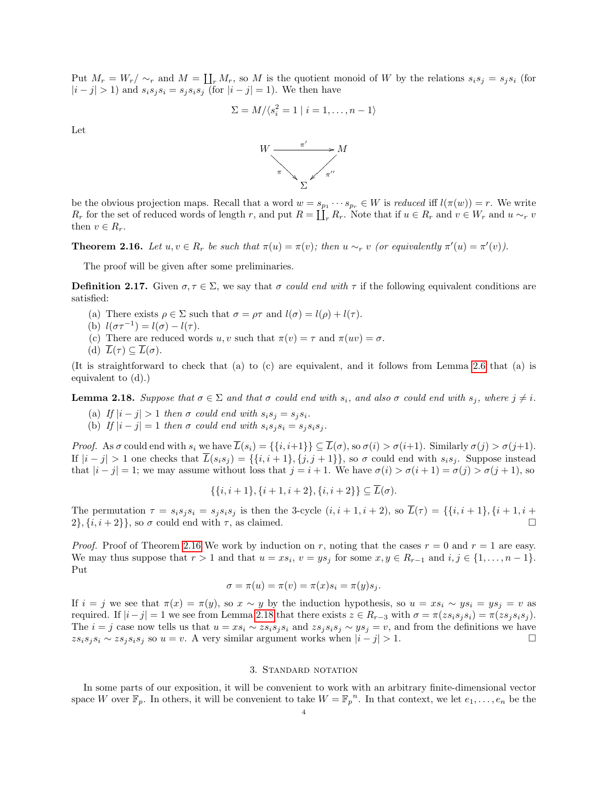Put  $M_r = W_r / \sim_r$  and  $M = \coprod_r M_r$ , so M is the quotient monoid of W by the relations  $s_i s_j = s_j s_i$  (for  $|i - j| > 1$  and  $s_i s_j s_i = s_j s_i s_j$  (for  $|i - j| = 1$ ). We then have

$$
\Sigma = M/\langle s_i^2 = 1 \mid i = 1, \dots, n-1 \rangle
$$

Let



be the obvious projection maps. Recall that a word  $w = s_{p_1} \cdots s_{p_r} \in W$  is reduced iff  $l(\pi(w)) = r$ . We write  $R_r$  for the set of reduced words of length r, and put  $R = \coprod_r R_r$ . Note that if  $u \in R_r$  and  $v \in W_r$  and  $u \sim_r v$ then  $v \in R_r$ .

<span id="page-3-0"></span>**Theorem 2.16.** Let  $u, v \in R_r$  be such that  $\pi(u) = \pi(v)$ ; then  $u \sim_r v$  (or equivalently  $\pi'(u) = \pi'(v)$ ).

The proof will be given after some preliminaries.

**Definition 2.17.** Given  $\sigma, \tau \in \Sigma$ , we say that  $\sigma$  could end with  $\tau$  if the following equivalent conditions are satisfied:

- (a) There exists  $\rho \in \Sigma$  such that  $\sigma = \rho \tau$  and  $l(\sigma) = l(\rho) + l(\tau)$ .
- (b)  $l(\sigma\tau^{-1}) = l(\sigma) l(\tau)$ .
- (c) There are reduced words u, v such that  $\pi(v) = \tau$  and  $\pi(uv) = \sigma$ .
- (d)  $\overline{L}(\tau) \subset \overline{L}(\sigma)$ .

(It is straightforward to check that (a) to (c) are equivalent, and it follows from Lemma [2.6](#page-1-1) that (a) is equivalent to (d).)

<span id="page-3-1"></span>**Lemma 2.18.** Suppose that  $\sigma \in \Sigma$  and that  $\sigma$  could end with  $s_i$ , and also  $\sigma$  could end with  $s_j$ , where  $j \neq i$ .

- (a) If  $|i j| > 1$  then  $\sigma$  could end with  $s_i s_j = s_j s_i$ .
- (b) If  $|i j| = 1$  then  $\sigma$  could end with  $s_i s_j s_i = s_j s_i s_j$ .

Proof. As  $\sigma$  could end with  $s_i$  we have  $\overline{L}(s_i) = \{\{i, i+1\}\}\subseteq \overline{L}(\sigma)$ , so  $\sigma(i) > \sigma(i+1)$ . Similarly  $\sigma(j) > \sigma(j+1)$ . If  $|i-j| > 1$  one checks that  $\overline{L}(s_i s_j) = \{\{i, i+1\}, \{j, j+1\}\}\,$  so  $\sigma$  could end with  $s_i s_j$ . Suppose instead that  $|i - j| = 1$ ; we may assume without loss that  $j = i + 1$ . We have  $\sigma(i) > \sigma(i + 1) = \sigma(j) > \sigma(j + 1)$ , so

$$
\{\{i, i+1\}, \{i+1, i+2\}, \{i, i+2\}\} \subseteq \overline{L}(\sigma).
$$

The permutation  $\tau = s_i s_j s_i = s_j s_i s_j$  is then the 3-cycle  $(i, i + 1, i + 2)$ , so  $\overline{L}(\tau) = \{\{i, i + 1\}, \{i + 1, i + 2\}, \{i + 1, i + 2\}, \{i + 1, i + 2\}\}$  $2\}, \{i, i+2\}\},\$  so  $\sigma$  could end with  $\tau$ , as claimed.

*Proof.* Proof of Theorem [2.16](#page-3-0) We work by induction on r, noting that the cases  $r = 0$  and  $r = 1$  are easy. We may thus suppose that  $r > 1$  and that  $u = xs_i$ ,  $v = ys_j$  for some  $x, y \in R_{r-1}$  and  $i, j \in \{1, ..., n-1\}$ . Put

$$
\sigma = \pi(u) = \pi(v) = \pi(x)s_i = \pi(y)s_j.
$$

If  $i = j$  we see that  $\pi(x) = \pi(y)$ , so  $x \sim y$  by the induction hypothesis, so  $u = xs_i \sim ys_i = ys_j = v$  as required. If  $|i-j|=1$  we see from Lemma [2.18](#page-3-1) that there exists  $z \in R_{r-3}$  with  $\sigma = \pi(z s_i s_j s_i) = \pi(z s_i s_i s_j)$ . The  $i = j$  case now tells us that  $u = xs_i \sim zs_i s_i s_i$  and  $zs_j s_i s_j \sim ys_j = v$ , and from the definitions we have  $zs_i s_j s_i \sim zs_j s_i s_j$  so  $u = v$ . A very similar argument works when  $|i - j| > 1$ . □

### 3. Standard notation

In some parts of our exposition, it will be convenient to work with an arbitrary finite-dimensional vector space W over  $\mathbb{F}_p$ . In others, it will be convenient to take  $W = \mathbb{F}_p^{\,n}$ . In that context, we let  $e_1, \ldots, e_n$  be the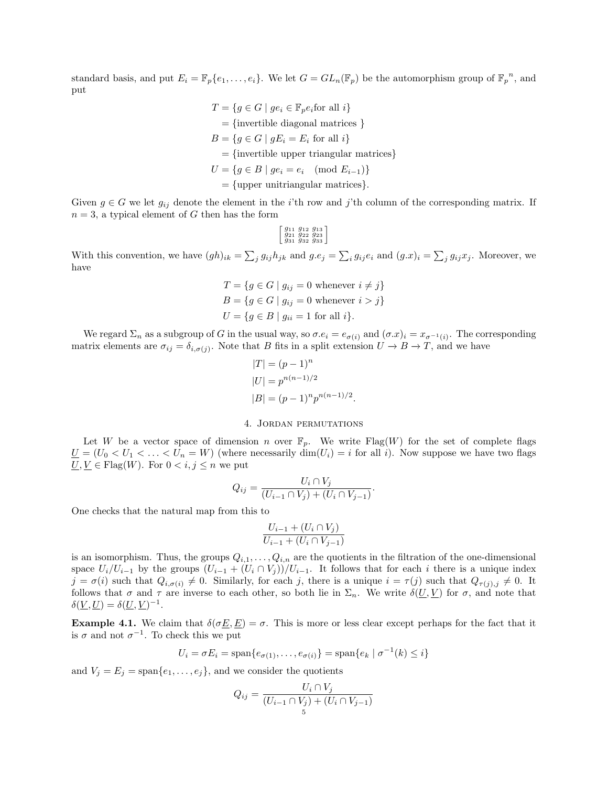standard basis, and put  $E_i = \mathbb{F}_p\{e_1, \ldots, e_i\}$ . We let  $G = GL_n(\mathbb{F}_p)$  be the automorphism group of  $\mathbb{F}_p^{\,n}$ , and put

$$
T = \{ g \in G \mid ge_i \in \mathbb{F}_p e_i \text{for all } i \}
$$
  
= {invertible diagonal matrices }  

$$
B = \{ g \in G \mid gE_i = E_i \text{ for all } i \}
$$
  
= {invertible upper triangular matrices} 
$$
U = \{ g \in B \mid ge_i = e_i \pmod{E_{i-1}} \}
$$
  
= {upper unitriangular matrices}.

Given  $g \in G$  we let  $g_{ij}$  denote the element in the *i*'th row and *j*'th column of the corresponding matrix. If  $n = 3$ , a typical element of G then has the form

$$
\left[ \begin{smallmatrix} g_{11} & g_{12} & g_{13} \\ g_{21} & g_{22} & g_{23} \\ g_{31} & g_{32} & g_{33} \end{smallmatrix} \right]
$$

With this convention, we have  $(gh)_{ik} = \sum_j g_{ij}h_{jk}$  and  $g.e_j = \sum_i g_{ij}e_i$  and  $(g.x)_i = \sum_j g_{ij}x_j$ . Moreover, we have

$$
T = \{ g \in G \mid g_{ij} = 0 \text{ whenever } i \neq j \}
$$
  
\n
$$
B = \{ g \in G \mid g_{ij} = 0 \text{ whenever } i > j \}
$$
  
\n
$$
U = \{ g \in B \mid g_{ii} = 1 \text{ for all } i \}.
$$

We regard  $\Sigma_n$  as a subgroup of G in the usual way, so  $\sigma.e_i = e_{\sigma(i)}$  and  $(\sigma.x)_i = x_{\sigma^{-1}(i)}$ . The corresponding matrix elements are  $\sigma_{ij} = \delta_{i,\sigma(j)}$ . Note that B fits in a split extension  $U \to B \to T$ , and we have

$$
|T| = (p - 1)^n
$$
  
\n
$$
|U| = p^{n(n-1)/2}
$$
  
\n
$$
|B| = (p - 1)^n p^{n(n-1)/2}
$$

#### 4. Jordan permutations

.

.

<span id="page-4-0"></span>Let W be a vector space of dimension n over  $\mathbb{F}_p$ . We write Flag(W) for the set of complete flags  $\underline{U} = (U_0 < U_1 < \ldots < U_n = W)$  (where necessarily  $\dim(U_i) = i$  for all i). Now suppose we have two flags  $\underline{U}, \underline{V} \in \text{Flag}(W)$ . For  $0 < i, j \leq n$  we put

$$
Q_{ij} = \frac{U_i \cap V_j}{(U_{i-1} \cap V_j) + (U_i \cap V_{j-1})}
$$

One checks that the natural map from this to

$$
\frac{U_{i-1} + (U_i \cap V_j)}{U_{i-1} + (U_i \cap V_{j-1})}
$$

is an isomorphism. Thus, the groups  $Q_{i,1}, \ldots, Q_{i,n}$  are the quotients in the filtration of the one-dimensional space  $U_i/U_{i-1}$  by the groups  $(U_{i-1} + (U_i \cap V_j))/U_{i-1}$ . It follows that for each i there is a unique index  $j = \sigma(i)$  such that  $Q_{i,\sigma(i)} \neq 0$ . Similarly, for each j, there is a unique  $i = \tau(j)$  such that  $Q_{\tau(j),j} \neq 0$ . It follows that  $\sigma$  and  $\tau$  are inverse to each other, so both lie in  $\Sigma_n$ . We write  $\delta(\underline{U},\underline{V})$  for  $\sigma$ , and note that  $\delta(\underline{V}, \underline{U}) = \delta(\underline{U}, \underline{V})^{-1}.$ 

**Example 4.1.** We claim that  $\delta(\sigma \underline{E}, \underline{E}) = \sigma$ . This is more or less clear except perhaps for the fact that it is  $\sigma$  and not  $\sigma^{-1}$ . To check this we put

$$
U_i = \sigma E_i = \text{span}\{e_{\sigma(1)}, \dots, e_{\sigma(i)}\} = \text{span}\{e_k \mid \sigma^{-1}(k) \leq i\}
$$

and  $V_j = E_j = \text{span}\{e_1, \ldots, e_j\}$ , and we consider the quotients

$$
Q_{ij} = \frac{U_i \cap V_j}{(U_{i-1} \cap V_j) + (U_i \cap V_{j-1})}
$$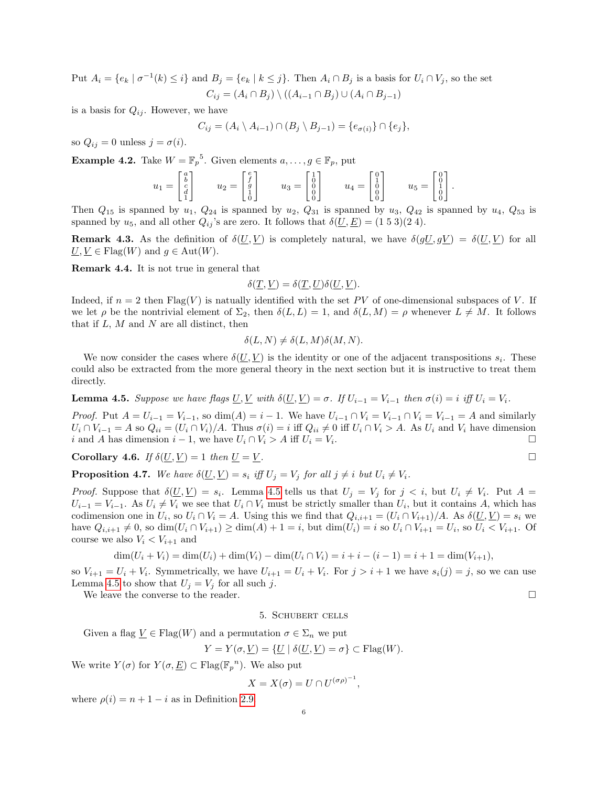Put  $A_i = \{e_k \mid \sigma^{-1}(k) \leq i\}$  and  $B_j = \{e_k \mid k \leq j\}$ . Then  $A_i \cap B_j$  is a basis for  $U_i \cap V_j$ , so the set  $C_{ij} = (A_i \cap B_j) \setminus ((A_{i-1} \cap B_j) \cup (A_i \cap B_{j-1}))$ 

is a basis for  $Q_{ij}$ . However, we have

$$
C_{ij} = (A_i \setminus A_{i-1}) \cap (B_j \setminus B_{j-1}) = \{e_{\sigma(i)}\} \cap \{e_j\},\
$$

so  $Q_{ij} = 0$  unless  $j = \sigma(i)$ .

<span id="page-5-1"></span>**Example 4.2.** Take  $W = \mathbb{F}_p^5$ . Given elements  $a, \ldots, g \in \mathbb{F}_p$ , put

$$
u_1 = \begin{bmatrix} a \\ b \\ c \\ d \\ 1 \end{bmatrix} \qquad u_2 = \begin{bmatrix} e \\ f \\ g \\ 1 \\ 0 \end{bmatrix} \qquad u_3 = \begin{bmatrix} 1 \\ 0 \\ 0 \\ 0 \\ 0 \end{bmatrix} \qquad u_4 = \begin{bmatrix} 0 \\ 1 \\ 0 \\ 0 \\ 0 \end{bmatrix} \qquad u_5 = \begin{bmatrix} 0 \\ 0 \\ 1 \\ 0 \\ 0 \end{bmatrix}.
$$

Then  $Q_{15}$  is spanned by  $u_1$ ,  $Q_{24}$  is spanned by  $u_2$ ,  $Q_{31}$  is spanned by  $u_3$ ,  $Q_{42}$  is spanned by  $u_4$ ,  $Q_{53}$  is spanned by  $u_5$ , and all other  $Q_{ij}$ 's are zero. It follows that  $\delta(\underline{U}, \underline{E}) = (1\ 5\ 3)(2\ 4)$ .

**Remark 4.3.** As the definition of  $\delta(\underline{U}, \underline{V})$  is completely natural, we have  $\delta(g\underline{U}, g\underline{V}) = \delta(\underline{U}, \underline{V})$  for all  $\underline{U}, \underline{V} \in \text{Flag}(W)$  and  $g \in \text{Aut}(W)$ .

Remark 4.4. It is not true in general that

$$
\delta(\underline{T}, \underline{V}) = \delta(\underline{T}, \underline{U})\delta(\underline{U}, \underline{V}).
$$

Indeed, if  $n = 2$  then Flag(V) is natually identified with the set PV of one-dimensional subspaces of V. If we let  $\rho$  be the nontrivial element of  $\Sigma_2$ , then  $\delta(L, L) = 1$ , and  $\delta(L, M) = \rho$  whenever  $L \neq M$ . It follows that if  $L, M$  and  $N$  are all distinct, then

$$
\delta(L, N) \neq \delta(L, M)\delta(M, N).
$$

We now consider the cases where  $\delta(\underline{U}, \underline{V})$  is the identity or one of the adjacent transpositions  $s_i$ . These could also be extracted from the more general theory in the next section but it is instructive to treat them directly.

<span id="page-5-0"></span>**Lemma 4.5.** Suppose we have flags  $\underline{U}, \underline{V}$  with  $\delta(\underline{U}, \underline{V}) = \sigma$ . If  $U_{i-1} = V_{i-1}$  then  $\sigma(i) = i$  iff  $U_i = V_i$ .

*Proof.* Put  $A = U_{i-1} = V_{i-1}$ , so dim(A) = i – 1. We have  $U_{i-1} \cap V_i = V_{i-1} \cap V_i = V_{i-1} = A$  and similarly  $U_i \cap V_{i-1} = A$  so  $Q_{ii} = (U_i \cap V_i)/A$ . Thus  $\sigma(i) = i$  iff  $Q_{ii} \neq 0$  iff  $U_i \cap V_i > A$ . As  $U_i$  and  $V_i$  have dimension i and A has dimension  $i - 1$ , we have  $U_i \cap V_i > A$  iff  $U_i = V_i$ . .

Corollary 4.6. If  $\delta(U, V) = 1$  then  $U = V$ .

<span id="page-5-2"></span>**Proposition 4.7.** We have  $\delta(\underline{U}, \underline{V}) = s_i$  iff  $U_j = V_j$  for all  $j \neq i$  but  $U_i \neq V_i$ .

*Proof.* Suppose that  $\delta(\underline{U}, \underline{V}) = s_i$ . Lemma [4.5](#page-5-0) tells us that  $U_j = V_j$  for  $j < i$ , but  $U_i \neq V_i$ . Put  $A =$  $U_{i-1} = V_{i-1}$ . As  $U_i \neq V_i$  we see that  $U_i \cap V_i$  must be strictly smaller than  $U_i$ , but it contains A, which has codimension one in  $U_i$ , so  $U_i \cap V_i = A$ . Using this we find that  $Q_{i,i+1} = (U_i \cap V_{i+1})/A$ . As  $\delta(\underline{U}, \underline{V}) = s_i$  we have  $Q_{i,i+1} \neq 0$ , so  $\dim(U_i \cap V_{i+1}) \geq \dim(A) + 1 = i$ , but  $\dim(U_i) = i$  so  $U_i \cap V_{i+1} = U_i$ , so  $U_i < V_{i+1}$ . Of course we also  $V_i < V_{i+1}$  and

$$
\dim(U_i + V_i) = \dim(U_i) + \dim(V_i) - \dim(U_i \cap V_i) = i + i - (i - 1) = i + 1 = \dim(V_{i+1}),
$$

so  $V_{i+1} = U_i + V_i$ . Symmetrically, we have  $U_{i+1} = U_i + V_i$ . For  $j > i+1$  we have  $s_i(j) = j$ , so we can use Lemma [4.5](#page-5-0) to show that  $U_j = V_j$  for all such j.

We leave the converse to the reader.  $\Box$ 

5. Schubert cells

Given a flag 
$$
\underline{V} \in \text{Flag}(W)
$$
 and a permutation  $\sigma \in \Sigma_n$  we put

$$
Y = Y(\sigma, \underline{V}) = \{ \underline{U} \mid \delta(\underline{U}, \underline{V}) = \sigma \} \subset \text{Flag}(W).
$$

We write  $Y(\sigma)$  for  $Y(\sigma, \underline{E}) \subset \mathrm{Flag}(\mathbb{F}_p^{\ n})$ . We also put

$$
X = X(\sigma) = U \cap U^{(\sigma \rho)^{-1}},
$$

where  $\rho(i) = n + 1 - i$  as in Definition [2.9.](#page-1-2)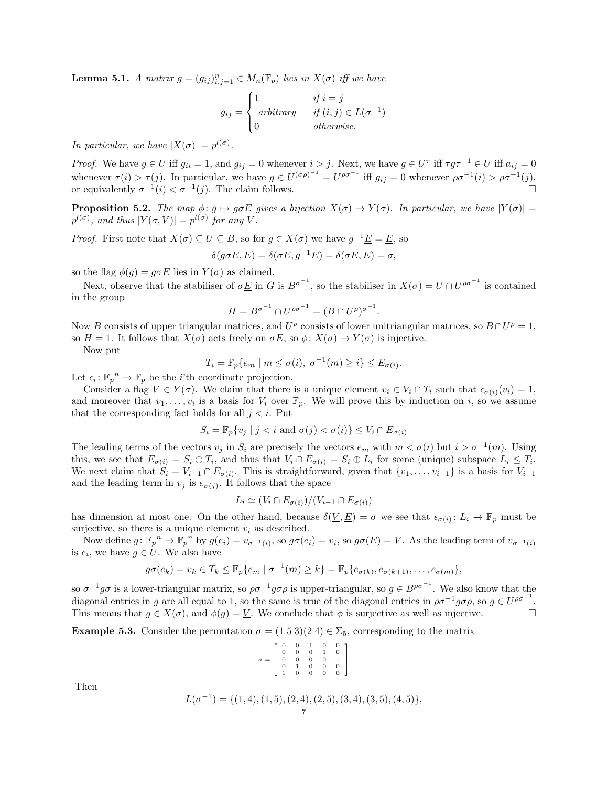**Lemma 5.1.** A matrix  $g = (g_{ij})_{i,j=1}^n \in M_n(\mathbb{F}_p)$  lies in  $X(\sigma)$  iff we have

$$
g_{ij} = \begin{cases} 1 & \text{if } i = j \\ arbitrary & \text{if } (i, j) \in L(\sigma^{-1}) \\ 0 & \text{otherwise.} \end{cases}
$$

In particular, we have  $|X(\sigma)| = p^{l(\sigma)}$ .

*Proof.* We have  $g \in U$  iff  $g_{ii} = 1$ , and  $g_{ij} = 0$  whenever  $i > j$ . Next, we have  $g \in U^{\tau}$  iff  $\tau g \tau^{-1} \in U$  iff  $a_{ij} = 0$ whenever  $\tau(i) > \tau(j)$ . In particular, we have  $g \in U^{(\sigma \rho)^{-1}} = U^{\rho \sigma^{-1}}$  iff  $g_{ij} = 0$  whenever  $\rho \sigma^{-1}(i) > \rho \sigma^{-1}(j)$ , or equivalently  $\sigma^{-1}(i) < \sigma^{-1}$  $(j)$ . The claim follows.

<span id="page-6-0"></span>**Proposition 5.2.** The map  $\phi: g \mapsto g \sigma E$  gives a bijection  $X(\sigma) \to Y(\sigma)$ . In particular, we have  $|Y(\sigma)| =$  $p^{l(\sigma)}$ , and thus  $|Y(\sigma, \underline{V})| = p^{l(\sigma)}$  for any  $\underline{V}$ .

*Proof.* First note that  $X(\sigma) \subseteq U \subseteq B$ , so for  $g \in X(\sigma)$  we have  $g^{-1} \underline{E} = \underline{E}$ , so

$$
\delta(g\sigma \underline{E}, \underline{E}) = \delta(\sigma \underline{E}, g^{-1}\underline{E}) = \delta(\sigma \underline{E}, \underline{E}) = \sigma,
$$

so the flag  $\phi(g) = g \sigma \underline{E}$  lies in  $Y(\sigma)$  as claimed.

Next, observe that the stabiliser of  $\sigma E$  in G is  $B^{\sigma^{-1}}$ , so the stabiliser in  $X(\sigma) = U \cap U^{\rho \sigma^{-1}}$  is contained in the group

$$
H = B^{\sigma^{-1}} \cap U^{\rho \sigma^{-1}} = (B \cap U^{\rho})^{\sigma^{-1}}
$$

.

Now B consists of upper triangular matrices, and  $U^{\rho}$  consists of lower unitriangular matrices, so  $B \cap U^{\rho} = 1$ , so  $H = 1$ . It follows that  $X(\sigma)$  acts freely on  $\sigma \underline{E}$ , so  $\phi: X(\sigma) \to Y(\sigma)$  is injective.

Now put

$$
T_i = \mathbb{F}_p\{e_m \mid m \le \sigma(i), \ \sigma^{-1}(m) \ge i\} \le E_{\sigma(i)}.
$$

Let  $\epsilon_i: \mathbb{F}_p^n \to \mathbb{F}_p$  be the *i*'th coordinate projection.

Consider a flag  $\underline{V} \in Y(\sigma)$ . We claim that there is a unique element  $v_i \in V_i \cap T_i$  such that  $\epsilon_{\sigma(i)}(v_i) = 1$ , and moreover that  $v_1, \ldots, v_i$  is a basis for  $V_i$  over  $\mathbb{F}_p$ . We will prove this by induction on i, so we assume that the corresponding fact holds for all  $j < i$ . Put

$$
S_i = \mathbb{F}_p\{v_j \mid j < i \text{ and } \sigma(j) < \sigma(i)\} \le V_i \cap E_{\sigma(i)}
$$

The leading terms of the vectors  $v_j$  in  $S_i$  are precisely the vectors  $e_m$  with  $m < \sigma(i)$  but  $i > \sigma^{-1}(m)$ . Using this, we see that  $E_{\sigma(i)} = S_i \oplus T_i$ , and thus that  $V_i \cap E_{\sigma(i)} = S_i \oplus L_i$  for some (unique) subspace  $L_i \leq T_i$ . We next claim that  $S_i = V_{i-1} \cap E_{\sigma(i)}$ . This is straightforward, given that  $\{v_1, \ldots, v_{i-1}\}$  is a basis for  $V_{i-1}$ and the leading term in  $v_j$  is  $e_{\sigma(j)}$ . It follows that the space

$$
L_i \simeq (V_i \cap E_{\sigma(i)})/(V_{i-1} \cap E_{\sigma(i)})
$$

has dimension at most one. On the other hand, because  $\delta(\underline{V}, \underline{E}) = \sigma$  we see that  $\epsilon_{\sigma(i)} : L_i \to \mathbb{F}_p$  must be surjective, so there is a unique element  $v_i$  as described.

Now define  $g: \mathbb{F}_p^{\ n} \to \mathbb{F}_p^{\ n}$  by  $g(e_i) = v_{\sigma^{-1}(i)}$ , so  $g\sigma(e_i) = v_i$ , so  $g\sigma(\underline{E}) = \underline{V}$ . As the leading term of  $v_{\sigma^{-1}(i)}$ is  $e_i$ , we have  $g \in U$ . We also have

$$
g\sigma(e_k)=v_k\in T_k\leq \mathbb{F}_p\{e_m\mid \sigma^{-1}(m)\geq k\}=\mathbb{F}_p\{e_{\sigma(k)},e_{\sigma(k+1)},\ldots,e_{\sigma(m)}\},\
$$

so  $\sigma^{-1}g\sigma$  is a lower-triangular matrix, so  $\rho\sigma^{-1}g\sigma\rho$  is upper-triangular, so  $g \in B^{\rho\sigma^{-1}}$ . We also know that the diagonal entries in g are all equal to 1, so the same is true of the diagonal entries in  $\rho\sigma^{-1}g\sigma\rho$ , so  $g \in U^{\rho\sigma^{-1}}$ . This means that  $g \in X(\sigma)$ , and  $\phi(g) = \underline{V}$ . We conclude that  $\phi$  is surjective as well as injective.

**Example 5.3.** Consider the permutation  $\sigma = (1\ 5\ 3)(2\ 4) \in \Sigma_5$ , corresponding to the matrix

| $\sigma = \left[ \begin{array}{cccccc} 0 & 0 & 1 & 0 & 0 \\ 0 & 0 & 0 & 1 & 0 \\ 0 & 0 & 0 & 0 & 1 \\ 0 & 1 & 0 & 0 & 0 \\ 1 & 0 & 0 & 0 & 0 \\ \end{array} \right]$ |  |  |  |
|----------------------------------------------------------------------------------------------------------------------------------------------------------------------|--|--|--|

Then

$$
L(\sigma^{-1}) = \{ (1, 4), (1, 5), (2, 4), (2, 5), (3, 4), (3, 5), (4, 5) \},\,
$$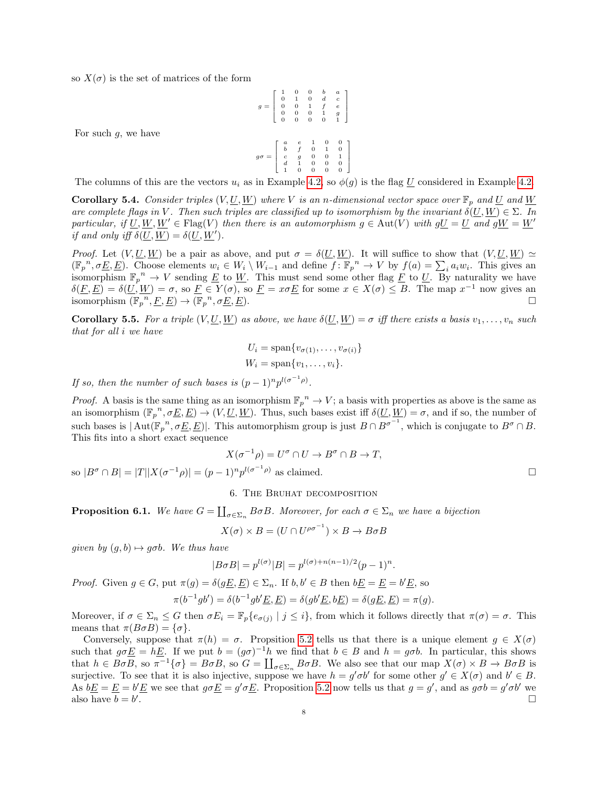so  $X(\sigma)$  is the set of matrices of the form

For such  $q$ , we have

$$
g = \left[\begin{array}{cccc} 1 & 0 & 0 & b & a \\ 0 & 1 & 0 & d & c \\ 0 & 0 & 1 & f & e \\ 0 & 0 & 0 & 1 & g \\ 0 & 0 & 0 & 0 & 1 \end{array}\right]
$$

$$
g\sigma = \left[\begin{array}{cccc} a & e & 1 & 0 & 0 \\ b & f & 0 & 1 & 0 \\ c & g & 0 & 0 & 1 \\ d & 1 & 0 & 0 & 0 \end{array}\right]
$$

The columns of this are the vectors  $u_i$  as in Example [4.2,](#page-5-1) so  $\phi(g)$  is the flag U considered in Example [4.2.](#page-5-1)

<span id="page-7-2"></span>**Corollary 5.4.** Consider triples  $(V, U, W)$  where V is an n-dimensional vector space over  $\mathbb{F}_p$  and U and W are complete flags in V. Then such triples are classified up to isomorphism by the invariant  $\delta(U, W) \in \Sigma$ . In particular, if  $\underline{U}, \underline{W}, \underline{W}' \in \text{Flag}(V)$  then there is an automorphism  $g \in \text{Aut}(V)$  with  $g\underline{U} = \underline{U}$  and  $g\underline{W} = \underline{W}'$ if and only iff  $\delta(\underline{U}, \underline{W}) = \delta(\underline{U}, \underline{W}')$ .

*Proof.* Let  $(V, U, W)$  be a pair as above, and put  $\sigma = \delta(U, W)$ . It will suffice to show that  $(V, U, W) \simeq$  $(\mathbb{F}_{p}^{n}, \sigma \underline{E}, \underline{E})$ . Choose elements  $w_i \in W_i \setminus W_{i-1}$  and define  $f: \mathbb{F}_{p}^{n} \to V$  by  $f(a) = \sum_{i} a_i w_i$ . This gives an isomorphism  $\mathbb{F}_p^n \to V$  sending  $\underline{E}$  to  $\underline{W}$ . This must send some other flag  $\underline{F}$  to  $\underline{U}$ . By naturality we have  $\delta(E, E) = \delta(U, W) = \sigma$ , so  $E \in Y(\sigma)$ , so  $E = x\sigma E$  for some  $x \in X(\sigma) \leq B$ . The map  $x^{-1}$  now gives an isomorphism  $(\mathbb{F}_p^{\ n}, \underline{F}, \underline{E}) \to (\mathbb{F}_p^{\ n})$ ,  $\sigma \underline{E}, \underline{E}$ ).

<span id="page-7-3"></span>**Corollary 5.5.** For a triple  $(V, U, W)$  as above, we have  $\delta(U, W) = \sigma$  iff there exists a basis  $v_1, \ldots, v_n$  such that for all i we have

$$
U_i = \text{span}\{v_{\sigma(1)}, \dots, v_{\sigma(i)}\}
$$
  

$$
W_i = \text{span}\{v_1, \dots, v_i\}.
$$

If so, then the number of such bases is  $(p-1)^n p^{l(\sigma^{-1}\rho)}$ .

*Proof.* A basis is the same thing as an isomorphism  $\mathbb{F}_p^n \to V$ ; a basis with properties as above is the same as an isomorphism  $(\mathbb{F}_p^n, \sigma\underline{E}, \underline{E}) \to (V, \underline{U}, \underline{W})$ . Thus, such bases exist iff  $\delta(\underline{U}, \underline{W}) = \sigma$ , and if so, the number of such bases is  $|\text{Aut}(\mathbb{F}_p^n, \sigma\underline{E}, \underline{E})|$ . This automorphism group is just  $B \cap B^{\sigma^{-1}}$ , which is conjugate to  $B^{\sigma} \cap B$ . This fits into a short exact sequence

$$
X(\sigma^{-1}\rho) = U^{\sigma} \cap U \to B^{\sigma} \cap B \to T,
$$
  

$$
X(\sigma^{-1}\rho) = (p-1)^n p^{l(\sigma^{-1}\rho)}
$$
 as claimed.

### 6. The Bruhat decomposition

<span id="page-7-0"></span>**Proposition 6.1.** We have  $G = \coprod_{\sigma \in \Sigma_n} B \sigma B$ . Moreover, for each  $\sigma \in \Sigma_n$  we have a bijection

$$
X(\sigma) \times B = (U \cap U^{\rho \sigma^{-1}}) \times B \to B \sigma B
$$

given by  $(q, b) \mapsto q\sigma b$ . We thus have

<span id="page-7-1"></span>so  $|B^{\sigma} \cap B| = |T||X(\sigma)$ 

$$
|B\sigma B| = p^{l(\sigma)}|B| = p^{l(\sigma) + n(n-1)/2}(p-1)^n.
$$

*Proof.* Given  $g \in G$ , put  $\pi(g) = \delta(g\underline{E}, \underline{E}) \in \Sigma_n$ . If  $b, b' \in B$  then  $b\underline{E} = \underline{E} = b'\underline{E}$ , so

$$
\pi(b^{-1}gb') = \delta(b^{-1}gb'\underline{E}, \underline{E}) = \delta(gb'\underline{E}, b\underline{E}) = \delta(g\underline{E}, \underline{E}) = \pi(g).
$$

Moreover, if  $\sigma \in \Sigma_n \leq G$  then  $\sigma E_i = \mathbb{F}_p\{e_{\sigma(j)} \mid j \leq i\}$ , from which it follows directly that  $\pi(\sigma) = \sigma$ . This means that  $\pi(B\sigma B) = {\sigma}.$ 

Conversely, suppose that  $\pi(h) = \sigma$ . Propsition [5.2](#page-6-0) tells us that there is a unique element  $g \in X(\sigma)$ such that  $g\sigma E = hE$ . If we put  $b = (g\sigma)^{-1}h$  we find that  $b \in B$  and  $h = g\sigma b$ . In particular, this shows that  $h \in B \sigma B$ , so  $\pi^{-1}{\{\sigma\}} = B \sigma B$ , so  $G = \coprod_{\sigma \in \Sigma_n} B \sigma B$ . We also see that our map  $X(\sigma) \times B \to B \sigma B$  is surjective. To see that it is also injective, suppose we have  $h = g' \sigma b'$  for some other  $g' \in X(\sigma)$  and  $b' \in B$ . As  $bE = E = b'E$  we see that  $g\sigma E = g'\sigma E$ . Proposition [5.2](#page-6-0) now tells us that  $g = g'$ , and as  $g\sigma b = g'\sigma b'$  we also have  $b = b'$ .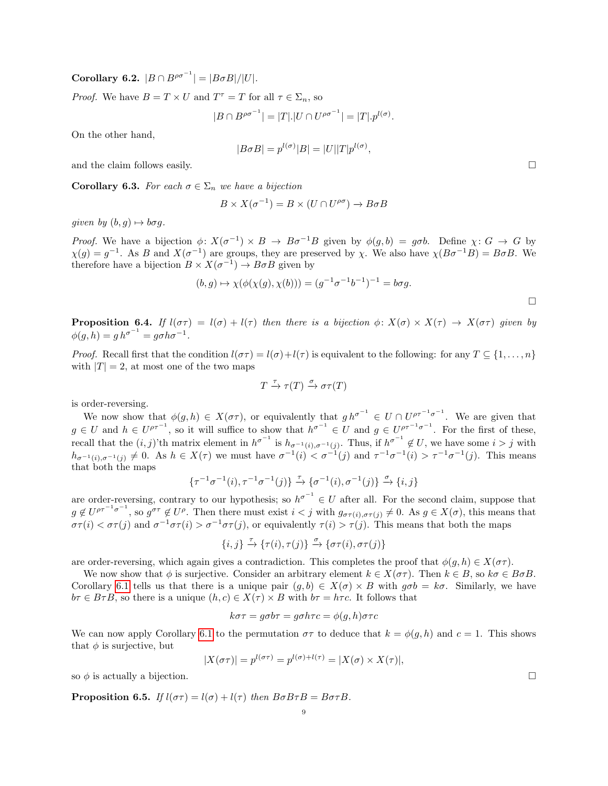Corollary 6.2.  $|B \cap B^{\rho\sigma^{-1}}| = |B \sigma B|/|U|$ .

*Proof.* We have  $B = T \times U$  and  $T^{\tau} = T$  for all  $\tau \in \Sigma_n$ , so

$$
|B \cap B^{\rho \sigma^{-1}}| = |T|.|U \cap U^{\rho \sigma^{-1}}| = |T| \cdot p^{l(\sigma)}.
$$

On the other hand,

$$
|B\sigma B| = p^{l(\sigma)}|B| = |U||T|p^{l(\sigma)},
$$

and the claim follows easily.  $\square$ 

Corollary 6.3. For each  $\sigma \in \Sigma_n$  we have a bijection

$$
B \times X(\sigma^{-1}) = B \times (U \cap U^{\rho\sigma}) \to B\sigma B
$$

given by  $(b, q) \mapsto b\sigma q$ .

Proof. We have a bijection  $\phi: X(\sigma^{-1}) \times B \to B\sigma^{-1}B$  given by  $\phi(g, b) = g\sigma b$ . Define  $\chi: G \to G$  by  $\chi(g) = g^{-1}$ . As B and  $X(\sigma^{-1})$  are groups, they are preserved by  $\chi$ . We also have  $\chi(B\sigma^{-1}B) = B\sigma B$ . We therefore have a bijection  $B \times X(\sigma^{-1}) \to B \sigma B$  given by

$$
(b,g)\mapsto \chi(\phi(\chi(g),\chi(b)))=(g^{-1}\sigma^{-1}b^{-1})^{-1}=b\sigma g.
$$

<span id="page-8-0"></span>**Proposition 6.4.** If  $l(\sigma\tau) = l(\sigma) + l(\tau)$  then there is a bijection  $\phi: X(\sigma) \times X(\tau) \to X(\sigma\tau)$  given by  $\phi(g, h) = g h^{\sigma^{-1}} = g \sigma h \sigma^{-1}.$ 

*Proof.* Recall first that the condition  $l(\sigma\tau) = l(\sigma) + l(\tau)$  is equivalent to the following: for any  $T \subseteq \{1, \ldots, n\}$ with  $|T| = 2$ , at most one of the two maps

$$
T \xrightarrow{\tau} \tau(T) \xrightarrow{\sigma} \sigma \tau(T)
$$

is order-reversing.

We now show that  $\phi(g, h) \in X(\sigma \tau)$ , or equivalently that  $gh^{\sigma^{-1}} \in U \cap U^{\rho \tau^{-1} \sigma^{-1}}$ . We are given that  $g \in U$  and  $h \in U^{\rho\tau^{-1}}$ , so it will suffice to show that  $h^{\sigma^{-1}} \in U$  and  $g \in U^{\rho\tau^{-1}\sigma^{-1}}$ . For the first of these, recall that the  $(i, j)$ 'th matrix element in  $h^{\sigma^{-1}}$  is  $h_{\sigma^{-1}(i), \sigma^{-1}(j)}$ . Thus, if  $h^{\sigma^{-1}} \notin U$ , we have some  $i > j$  with  $h_{\sigma^{-1}(i),\sigma^{-1}(j)} \neq 0$ . As  $h \in X(\tau)$  we must have  $\sigma^{-1}(i) < \sigma^{-1}(j)$  and  $\tau^{-1}\sigma^{-1}(i) > \tau^{-1}\sigma^{-1}(j)$ . This means that both the maps

$$
\{\tau^{-1}\sigma^{-1}(i),\tau^{-1}\sigma^{-1}(j)\}\xrightarrow{\tau}\{\sigma^{-1}(i),\sigma^{-1}(j)\}\xrightarrow{\sigma}\{i,j\}
$$

are order-reversing, contrary to our hypothesis; so  $h^{\sigma^{-1}} \in U$  after all. For the second claim, suppose that  $g \notin U^{\rho\tau^{-1}\sigma^{-1}}$ , so  $g^{\sigma\tau} \notin U^{\rho}$ . Then there must exist  $i < j$  with  $g_{\sigma\tau(i),\sigma\tau(j)} \neq 0$ . As  $g \in X(\sigma)$ , this means that  $\sigma\tau(i) < \sigma\tau(j)$  and  $\sigma^{-1}\sigma\tau(i) > \sigma^{-1}\sigma\tau(j)$ , or equivalently  $\tau(i) > \tau(j)$ . This means that both the maps

$$
\{i, j\} \xrightarrow{\tau} \{\tau(i), \tau(j)\} \xrightarrow{\sigma} \{\sigma\tau(i), \sigma\tau(j)\}
$$

are order-reversing, which again gives a contradiction. This completes the proof that  $\phi(g, h) \in X(\sigma \tau)$ .

We now show that  $\phi$  is surjective. Consider an arbitrary element  $k \in X(\sigma\tau)$ . Then  $k \in B$ , so  $k\sigma \in B\sigma B$ . Corollary [6.1](#page-7-0) tells us that there is a unique pair  $(g, b) \in X(\sigma) \times B$  with  $g\sigma b = k\sigma$ . Similarly, we have  $b\tau \in B\tau B$ , so there is a unique  $(h, c) \in X(\tau) \times B$  with  $b\tau = h\tau c$ . It follows that

$$
k\sigma\tau = g\sigma b\tau = g\sigma h\tau c = \phi(g, h)\sigma\tau c
$$

We can now apply Corollary [6.1](#page-7-0) to the permutation  $\sigma\tau$  to deduce that  $k = \phi(g, h)$  and  $c = 1$ . This shows that  $\phi$  is surjective, but

$$
|X(\sigma\tau)| = p^{l(\sigma\tau)} = p^{l(\sigma)+l(\tau)} = |X(\sigma) \times X(\tau)|,
$$

so  $\phi$  is actually a bijection.

**Proposition 6.5.** If  $l(\sigma\tau) = l(\sigma) + l(\tau)$  then  $B\sigma B\tau B = B\sigma\tau B$ .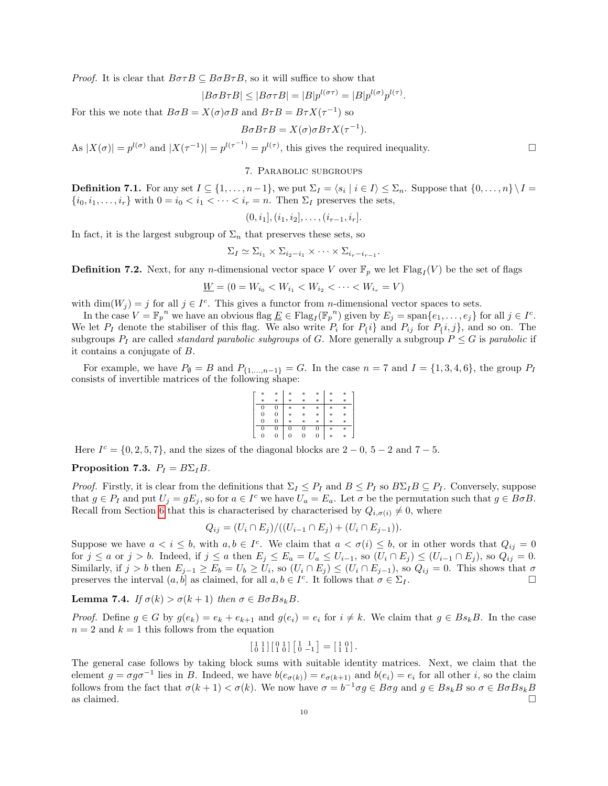*Proof.* It is clear that  $B\sigma\tau B \subseteq B\sigma B\tau B$ , so it will suffice to show that

$$
B\sigma B\tau B| \leq |B\sigma\tau B| = |B|p^{l(\sigma\tau)} = |B|p^{l(\sigma)}p^{l(\tau)}
$$

.

For this we note that  $B \sigma B = X(\sigma) \sigma B$  and  $B \tau B = B \tau X(\tau^{-1})$  so

$$
B\sigma B\tau B = X(\sigma)\sigma B\tau X(\tau^{-1}).
$$

As  $|X(\sigma)| = p^{l(\sigma)}$  and  $|X(\tau^{-1})| = p^{l(\tau^{-1})} = p^{l(\tau)}$ , this gives the required inequality.

#### 7. Parabolic subgroups

**Definition 7.1.** For any set  $I \subseteq \{1, \ldots, n-1\}$ , we put  $\Sigma_I = \langle s_i \mid i \in I \rangle \leq \Sigma_n$ . Suppose that  $\{0, \ldots, n\} \setminus I =$  $\{i_0, i_1, \ldots, i_r\}$  with  $0 = i_0 < i_1 < \cdots < i_r = n$ . Then  $\Sigma_I$  preserves the sets,

$$
(0, i_1], (i_1, i_2], \ldots, (i_{r-1}, i_r].
$$

In fact, it is the largest subgroup of  $\Sigma_n$  that preserves these sets, so

$$
\Sigma_I \simeq \Sigma_{i_1} \times \Sigma_{i_2 - i_1} \times \cdots \times \Sigma_{i_r - i_{r-1}}.
$$

**Definition 7.2.** Next, for any *n*-dimensional vector space V over  $\mathbb{F}_p$  we let  $\text{Flag}_I(V)$  be the set of flags

$$
\underline{W} = (0 = W_{i_0} < W_{i_1} < W_{i_2} < \cdots < W_{i_r} = V)
$$

with  $\dim(W_j) = j$  for all  $j \in I^c$ . This gives a functor from *n*-dimensional vector spaces to sets.

In the case  $V = \mathbb{F}_p^n$  we have an obvious flag  $\underline{E} \in \text{Flag}_I(\mathbb{F}_p^n)$  given by  $E_j = \text{span}\{e_1, \ldots, e_j\}$  for all  $j \in I^c$ . We let  $P_1$  denote the stabiliser of this flag. We also write  $P_i$  for  $P_i$  and  $P_{ij}$  for  $P_i$ ,  $j\}$ , and so on. The subgroups  $P_I$  are called *standard parabolic subgroups* of G. More generally a subgroup  $P \leq G$  is parabolic if it contains a conjugate of B.

For example, we have  $P_{\emptyset} = B$  and  $P_{\{1,\dots,n-1\}} = G$ . In the case  $n = 7$  and  $I = \{1,3,4,6\}$ , the group  $P_I$ consists of invertible matrices of the following shape:

| * | $*$    | *  | * | *   | * | * |  |
|---|--------|----|---|-----|---|---|--|
| * | $\ast$ | sk | * | *   | * |   |  |
| U | 0      | *  | * | *   | * | * |  |
| 0 | 0      | ∗  | * | $*$ | * | × |  |
| " | 0      | ×  | ∗ | *   | * |   |  |
| 0 | 0      | U  |   | U   | × | × |  |
| U | 0      |    |   | 0   | * | ∗ |  |

Here  $I^c = \{0, 2, 5, 7\}$ , and the sizes of the diagonal blocks are  $2 - 0$ ,  $5 - 2$  and  $7 - 5$ .

# Proposition 7.3.  $P_I = B\Sigma_I B$ .

*Proof.* Firstly, it is clear from the definitions that  $\Sigma_I \leq P_I$  and  $B \leq P_I$  so  $B\Sigma_I B \subseteq P_I$ . Conversely, suppose that  $g \in P_I$  and put  $U_j = gE_j$ , so for  $a \in I^c$  we have  $U_a = E_a$ . Let  $\sigma$  be the permutation such that  $g \in B \sigma B$ . Recall from Section [6](#page-7-1) that this is characterised by characterised by  $Q_{i,\sigma(i)} \neq 0$ , where

$$
Q_{ij} = (U_i \cap E_j) / ((U_{i-1} \cap E_j) + (U_i \cap E_{j-1})).
$$

Suppose we have  $a < i \leq b$ , with  $a, b \in I^c$ . We claim that  $a < \sigma(i) \leq b$ , or in other words that  $Q_{ij} = 0$ for  $j \le a$  or  $j > b$ . Indeed, if  $j \le a$  then  $E_j \le E_a = U_a \le U_{i-1}$ , so  $(U_i \cap E_j) \le (U_{i-1} \cap E_j)$ , so  $Q_{ij} = 0$ . Similarly, if  $j > b$  then  $E_{j-1} \ge E_b = U_b \ge U_i$ , so  $(U_i \cap E_j) \le (U_i \cap E_{j-1})$ , so  $Q_{ij} = 0$ . This shows that  $\sigma$ preserves the interval  $(a, b]$  as claimed, for all  $a, b \in I^c$ . It follows that  $\sigma \in \Sigma_I$ .

<span id="page-9-0"></span>Lemma 7.4. If  $\sigma(k) > \sigma(k+1)$  then  $\sigma \in B \sigma B s_k B$ .

*Proof.* Define  $g \in G$  by  $g(e_k) = e_k + e_{k+1}$  and  $g(e_i) = e_i$  for  $i \neq k$ . We claim that  $g \in Bs_kB$ . In the case  $n = 2$  and  $k = 1$  this follows from the equation

$$
\begin{bmatrix} 1 & 1 \\ 0 & 1 \end{bmatrix} \begin{bmatrix} 0 & 1 \\ 1 & 0 \end{bmatrix} \begin{bmatrix} 1 & 1 \\ 0 & -1 \end{bmatrix} = \begin{bmatrix} 1 & 0 \\ 1 & 1 \end{bmatrix}.
$$

The general case follows by taking block sums with suitable identity matrices. Next, we claim that the element  $g = \sigma g \sigma^{-1}$  lies in B. Indeed, we have  $b(e_{\sigma(k)}) = e_{\sigma(k+1)}$  and  $b(e_i) = e_i$  for all other i, so the claim follows from the fact that  $\sigma(k+1) < \sigma(k)$ . We now have  $\sigma = b^{-1}\sigma g \in B\sigma g$  and  $g \in Bs_kB$  so  $\sigma \in B\sigma Bs_kB$ as claimed.  $\square$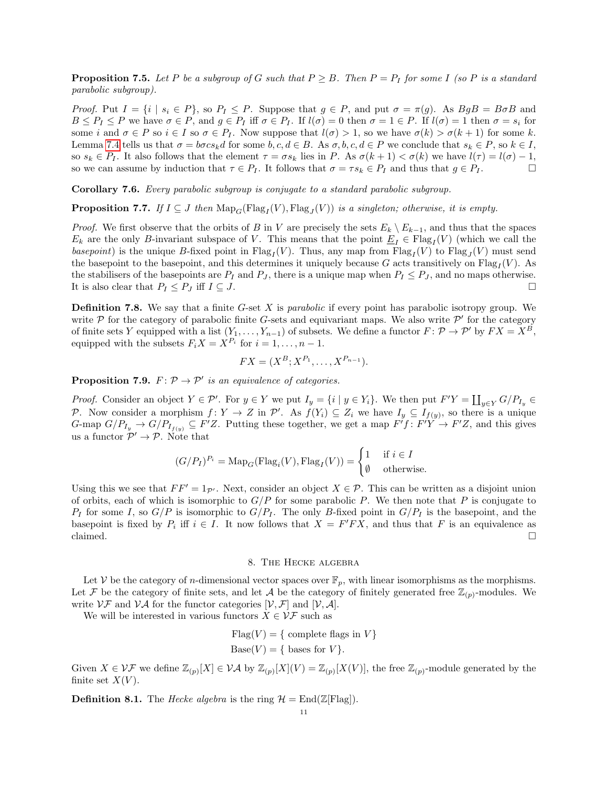**Proposition 7.5.** Let P be a subgroup of G such that  $P \geq B$ . Then  $P = P$  for some I (so P is a standard parabolic subgroup).

*Proof.* Put  $I = \{i \mid s_i \in P\}$ , so  $P_I \leq P$ . Suppose that  $g \in P$ , and put  $\sigma = \pi(g)$ . As  $BgB = B\sigma B$  and  $B \leq P_I \leq P$  we have  $\sigma \in P$ , and  $g \in P_I$  iff  $\sigma \in P_I$ . If  $l(\sigma) = 0$  then  $\sigma = 1 \in P$ . If  $l(\sigma) = 1$  then  $\sigma = s_i$  for some i and  $\sigma \in P$  so  $i \in I$  so  $\sigma \in P_I$ . Now suppose that  $l(\sigma) > 1$ , so we have  $\sigma(k) > \sigma(k+1)$  for some k. Lemma [7.4](#page-9-0) tells us that  $\sigma = b\sigma c s_k d$  for some  $b, c, d \in B$ . As  $\sigma, b, c, d \in P$  we conclude that  $s_k \in P$ , so  $k \in I$ , so  $s_k \in P_I$ . It also follows that the element  $\tau = \sigma s_k$  lies in P. As  $\sigma(k+1) < \sigma(k)$  we have  $l(\tau) = l(\sigma) - 1$ , so we can assume by induction that  $\tau \in P_I$ . It follows that  $\sigma = \tau s_k \in P_I$  and thus that  $g \in P_I$ .

Corollary 7.6. Every parabolic subgroup is conjugate to a standard parabolic subgroup.

**Proposition 7.7.** If  $I \subseteq J$  then  $\text{Map}_G(\text{Flag}_I(V), \text{Flag}_J(V))$  is a singleton; otherwise, it is empty.

*Proof.* We first observe that the orbits of B in V are precisely the sets  $E_k \setminus E_{k-1}$ , and thus that the spaces  $E_k$  are the only B-invariant subspace of V. This means that the point  $\underline{E}_I \in \text{Flag}_I(V)$  (which we call the basepoint) is the unique B-fixed point in  $Flag_I(V)$ . Thus, any map from  $Flag_I(V)$  to  $Flag_J(V)$  must send the basepoint to the basepoint, and this determines it uniquely because G acts transitively on  $\text{Flag}_{I}(V)$ . As the stabilisers of the basepoints are  $P_I$  and  $P_J$ , there is a unique map when  $P_I \leq P_J$ , and no maps otherwise. It is also clear that  $P_I \leq P_J$  iff  $I \subseteq J$ .

**Definition 7.8.** We say that a finite  $G$ -set  $X$  is *parabolic* if every point has parabolic isotropy group. We write  $P$  for the category of parabolic finite G-sets and equivariant maps. We also write  $P'$  for the category of finite sets Y equipped with a list  $(Y_1, \ldots, Y_{n-1})$  of subsets. We define a functor  $F: \mathcal{P} \to \mathcal{P}'$  by  $FX = X^B$ , equipped with the subsets  $F_i X = X^{P_i}$  for  $i = 1, ..., n - 1$ .

$$
FX = (X^{B}; X^{P_1}, \dots, X^{P_{n-1}}).
$$

**Proposition 7.9.**  $F: \mathcal{P} \to \mathcal{P}'$  is an equivalence of categories.

*Proof.* Consider an object  $Y \in \mathcal{P}'$ . For  $y \in Y$  we put  $I_y = \{i \mid y \in Y_i\}$ . We then put  $F'Y = \coprod_{y \in Y} G/P_{I_y}$ P. Now consider a morphism  $f: Y \to Z$  in  $\mathcal{P}'$ . As  $f(Y_i) \subseteq Z_i$  we have  $I_y \subseteq I_{f(y)}$ , so there is a unique G-map  $G/P_{I_y} \to G/P_{I_{f(y)}} \subseteq F'Z$ . Putting these together, we get a map  $F'f: F'Y \to F'Z$ , and this gives us a functor  $\mathcal{P}' \to \mathcal{P}$ . Note that

$$
(G/P_I)^{P_i} = \text{Map}_G(\text{Flag}_i(V), \text{Flag}_I(V)) = \begin{cases} 1 & \text{if } i \in I \\ \emptyset & \text{otherwise.} \end{cases}
$$

Using this we see that  $FF' = 1_{\mathcal{P}}$ . Next, consider an object  $X \in \mathcal{P}$ . This can be written as a disjoint union of orbits, each of which is isomorphic to  $G/P$  for some parabolic P. We then note that P is conjugate to  $P_I$  for some I, so  $G/P$  is isomorphic to  $G/P_I$ . The only B-fixed point in  $G/P_I$  is the basepoint, and the basepoint is fixed by  $P_i$  iff  $i \in I$ . It now follows that  $X = F'FX$ , and thus that F is an equivalence as claimed.  $\square$ 

# 8. The Hecke algebra

Let V be the category of *n*-dimensional vector spaces over  $\mathbb{F}_p$ , with linear isomorphisms as the morphisms. Let F be the category of finite sets, and let A be the category of finitely generated free  $\mathbb{Z}_{(p)}$ -modules. We write  $\mathcal{VF}$  and  $\mathcal{VA}$  for the functor categories  $[\mathcal{V}, \mathcal{F}]$  and  $[\mathcal{V}, \mathcal{A}]$ .

We will be interested in various functors  $X \in \mathcal{VF}$  such as

Flag
$$
(V)
$$
 = { complete flags in  $V$ }  
Base $(V)$  = { bases for  $V$ }.

Given  $X \in \mathcal{VF}$  we define  $\mathbb{Z}_{(p)}[X] \in \mathcal{VA}$  by  $\mathbb{Z}_{(p)}[X](V) = \mathbb{Z}_{(p)}[X(V)]$ , the free  $\mathbb{Z}_{(p)}$ -module generated by the finite set  $X(V)$ .

**Definition 8.1.** The *Hecke algebra* is the ring  $\mathcal{H} = \text{End}(\mathbb{Z}[\text{Flag}]).$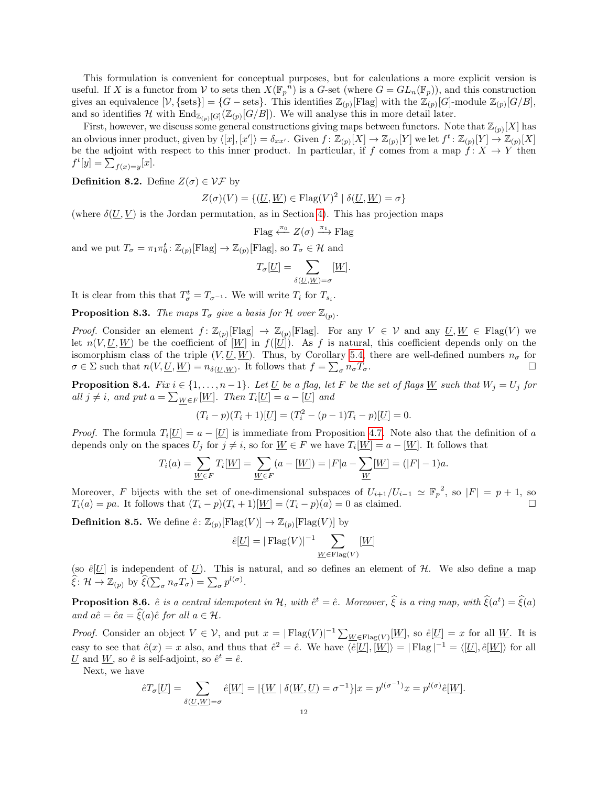This formulation is convenient for conceptual purposes, but for calculations a more explicit version is useful. If X is a functor from V to sets then  $X(\mathbb{F}_p^{\ n})$  is a G-set (where  $G = GL_n(\mathbb{F}_p)$ ), and this construction gives an equivalence  $[\mathcal{V}, {\{\text{sets}\}}] = \{G-\text{sets}\}\$ . This identifies  $\mathbb{Z}_{(p)}[\text{Flag}]$  with the  $\mathbb{Z}_{(p)}[G]$ -module  $\mathbb{Z}_{(p)}[G/B]$ , and so identifies H with  $\text{End}_{\mathbb{Z}_{(p)}[G]}(\mathbb{Z}_{(p)}[G/B])$ . We will analyse this in more detail later.

First, however, we discuss some general constructions giving maps between functors. Note that  $\mathbb{Z}_{(p)}[X]$  has an obvious inner product, given by  $\langle [x], [x'] \rangle = \delta_{xx'}$ . Given  $f : \mathbb{Z}_{(p)}[X] \to \mathbb{Z}_{(p)}[Y]$  we let  $f^t : \mathbb{Z}_{(p)}[Y] \to \mathbb{Z}_{(p)}[X]$ be the adjoint with respect to this inner product. In particular, if f comes from a map  $f: X \to Y$  then  $f^t[y] = \sum_{f(x)=y} [x].$ 

**Definition 8.2.** Define  $Z(\sigma) \in \mathcal{VF}$  by

$$
Z(\sigma)(V) = \{ (\underline{U}, \underline{W}) \in \text{Flag}(V)^2 \mid \delta(\underline{U}, \underline{W}) = \sigma \}
$$

(where  $\delta(U, V)$  is the Jordan permutation, as in Section [4\)](#page-4-0). This has projection maps

Flag 
$$
\xleftarrow{\pi_0} Z(\sigma) \xrightarrow{\pi_1}
$$
 Flag

and we put  $T_{\sigma} = \pi_1 \pi_0^t \colon \mathbb{Z}_{(p)}[\text{Flag}] \to \mathbb{Z}_{(p)}[\text{Flag}],$  so  $T_{\sigma} \in \mathcal{H}$  and

$$
T_{\sigma}[\underline{U}] = \sum_{\delta(\underline{U}, \underline{W}) = \sigma} [\underline{W}].
$$

It is clear from this that  $T^t_\sigma = T_{\sigma^{-1}}$ . We will write  $T_i$  for  $T_{s_i}$ .

**Proposition 8.3.** The maps  $T_{\sigma}$  give a basis for H over  $\mathbb{Z}_{(p)}$ .

*Proof.* Consider an element  $f: \mathbb{Z}_{(p)}[\text{Flag}] \to \mathbb{Z}_{(p)}[\text{Flag}]$ . For any  $V \in \mathcal{V}$  and any  $\underline{U}, \underline{W} \in \text{Flag}(V)$  we let  $n(V, U, W)$  be the coefficient of  $[W]$  in  $f([U])$ . As f is natural, this coefficient depends only on the isomorphism class of the triple  $(V, U, W)$ . Thus, by Corollary [5.4,](#page-7-2) there are well-defined numbers  $n_{\sigma}$  for  $\sigma \in \Sigma$  such that  $n(V, \underline{U}, \underline{W}) = n_{\delta(\underline{U}, \underline{W})}$ . It follows that  $f = \sum_{\sigma} n_{\sigma} T_{\sigma}$ .

<span id="page-11-0"></span>**Proposition 8.4.** Fix  $i \in \{1, ..., n-1\}$ . Let U be a flag, let F be the set of flags W such that  $W_j = U_j$  for all  $j \neq i$ , and put  $a = \sum_{W \in F} [W]$ . Then  $T_i[U] = a - [U]$  and

$$
(T_i - p)(T_i + 1)[\underline{U}] = (T_i^2 - (p - 1)T_i - p)[\underline{U}] = 0.
$$

*Proof.* The formula  $T_i[\underline{U}] = a - [\underline{U}]$  is immediate from Proposition [4.7.](#page-5-2) Note also that the definition of a depends only on the spaces  $U_j$  for  $j \neq i$ , so for  $\underline{W} \in F$  we have  $T_i[\underline{W}] = a - [\underline{W}]$ . It follows that

$$
T_i(a) = \sum_{\underline{W} \in F} T_i[\underline{W}] = \sum_{\underline{W} \in F} (a - [\underline{W}]) = |F|a - \sum_{\underline{W}} [\underline{W}] = (|F| - 1)a.
$$

Moreover, F bijects with the set of one-dimensional subspaces of  $U_{i+1}/U_{i-1} \simeq \mathbb{F}_p^2$ , so  $|F| = p + 1$ , so  $T_i(a) = pa$ . It follows that  $(T_i - p)(T_i + 1)[W] = (T_i - p)(a) = 0$  as claimed.

**Definition 8.5.** We define  $\hat{e}$ :  $\mathbb{Z}_{(p)}[\text{Flag}(V)] \to \mathbb{Z}_{(p)}[\text{Flag}(V)]$  by

$$
\hat{e}[\underline{U}] = |\operatorname{Flag}(V)|^{-1} \sum_{\underline{W} \in \operatorname{Flag}(V)} [\underline{W}]
$$

(so  $\hat{e}[U]$  is independent of U). This is natural, and so defines an element of H. We also define a map  $\widehat{\xi} \colon \mathcal{H} \to \mathbb{Z}_{(p)}$  by  $\widehat{\xi}(\sum_{\sigma} n_{\sigma} T_{\sigma}) = \sum_{\sigma} p^{l(\sigma)}$ .

**Proposition 8.6.**  $\hat{e}$  is a central idempotent in H, with  $\hat{e}^t = \hat{e}$ . Moreover,  $\hat{\xi}$  is a ring map, with  $\hat{\xi}(a^t) = \hat{\xi}(a)$ and  $a\hat{e} = \hat{e}a = \hat{\xi}(a)\hat{e}$  for all  $a \in \mathcal{H}$ .

*Proof.* Consider an object  $V \in V$ , and put  $x = |\text{Flag}(V)|^{-1} \sum_{W \in \text{Flag}(V)} [W]$ , so  $\hat{e}[U] = x$  for all W. It is easy to see that  $\hat{e}(x) = x$  also, and thus that  $\hat{e}^2 = \hat{e}$ . We have  $\langle \hat{e}[U], [W] \rangle = |\text{Flag}|^{-1} = \langle [U], \hat{e}[W] \rangle$  for all U and W, so  $\hat{e}$  is self-adjoint, so  $\hat{e}^t = \hat{e}$ .

Next, we have

$$
\hat{e}T_{\sigma}[\underline{U}] = \sum_{\delta(\underline{U}, \underline{W}) = \sigma} \hat{e}[\underline{W}] = |\{\underline{W} \mid \delta(\underline{W}, \underline{U}) = \sigma^{-1}\}|x = p^{l(\sigma^{-1})}x = p^{l(\sigma)}\hat{e}[\underline{W}].
$$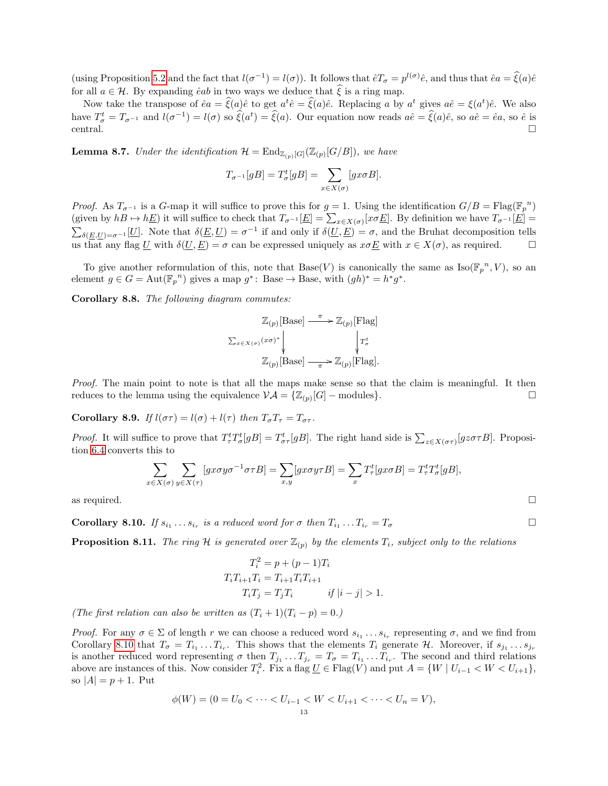(using Proposition [5.2](#page-6-0) and the fact that  $l(\sigma^{-1}) = l(\sigma)$ ). It follows that  $\hat{e}T_{\sigma} = p^{l(\sigma)}\hat{e}$ , and thus that  $\hat{e}a = \hat{\xi}(a)\hat{e}$ for all  $a \in \mathcal{H}$ . By expanding  $\hat{e}ab$  in two ways we deduce that  $\xi$  is a ring map.

Now take the transpose of  $\hat{e}a = \hat{\xi}(a)\hat{e}$  to get  $a^t\hat{e} = \hat{\xi}(a)\hat{e}$ . Replacing a by  $a^t$  gives  $a\hat{e} = \xi(a^t)\hat{e}$ . We also have  $T^t_{\sigma} = T_{\sigma^{-1}}$  and  $l(\sigma^{-1}) = l(\sigma)$  so  $\hat{\xi}(a^t) = \hat{\xi}(a)$ . Our equation now reads  $a\hat{e} = \hat{\xi}(a)\hat{e}$ , so  $a\hat{e} = \hat{e}a$ , so  $\hat{e}$  is  $\Box$  central.

**Lemma 8.7.** Under the identification  $\mathcal{H} = \text{End}_{\mathbb{Z}_{(p)}[G]}(\mathbb{Z}_{(p)}[G/B])$ , we have

$$
T_{\sigma^{-1}}[gB] = T_{\sigma}^t[gB] = \sum_{x \in X(\sigma)} [gx\sigma B].
$$

*Proof.* As  $T_{\sigma^{-1}}$  is a G-map it will suffice to prove this for  $g = 1$ . Using the identification  $G/B = Flag(\mathbb{F}_p^n)$ (given by  $hB \mapsto h\underline{E}$ ) it will suffice to check that  $T_{\sigma^{-1}}[\underline{E}] = \sum_{x \in X(\sigma)} [x \sigma \underline{E}]$ . By definition we have  $T_{\sigma^{-1}}[\underline{E}] =$  $\sum_{\delta(E,U)=\sigma^{-1}}[U]$ . Note that  $\delta(E,U)=\sigma^{-1}$  if and only if  $\delta(U,E)=\sigma$ , and the Bruhat decomposition tells us that any flag U with  $\delta(\underline{U}, \underline{E}) = \sigma$  can be expressed uniquely as  $x \sigma \underline{E}$  with  $x \in X(\sigma)$ , as required.

To give another reformulation of this, note that  $Base(V)$  is canonically the same as  $Iso(\mathbb{F}_p^N, V)$ , so an element  $g \in G = \text{Aut}(\mathbb{F}_p^{n})$  gives a map  $g^*$ : Base  $\to$  Base, with  $(gh)^* = h^*g^*$ .

Corollary 8.8. The following diagram commutes:

$$
\label{eq:Z} \begin{array}{c} \mathbb{Z}_{(p)}[\text{Base}] \stackrel{\pi}{\longrightarrow} \mathbb{Z}_{(p)}[\text{Flag}] \\ \sum_{x \in X(\sigma)} (x\sigma)^{*} \Biggl\downarrow \qquad \qquad \Biggl\downarrow T_{\sigma}^{t} \\ \mathbb{Z}_{(p)}[\text{Base}] \stackrel{\pi}{\longrightarrow} \mathbb{Z}_{(p)}[\text{Flag}]. \end{array}
$$

Proof. The main point to note is that all the maps make sense so that the claim is meaningful. It then reduces to the lemma using the equivalence  $\mathcal{VA} = {\mathbb{Z}_{(p)}[G]}$  – modules}.

Corollary 8.9. If  $l(\sigma\tau) = l(\sigma) + l(\tau)$  then  $T_{\sigma}T_{\tau} = T_{\sigma\tau}$ .

*Proof.* It will suffice to prove that  $T_{\tau}^t T_{\sigma}^t[gB] = T_{\sigma\tau}^t[gB]$ . The right hand side is  $\sum_{z \in X(\sigma\tau)} [gz\sigma\tau B]$ . Proposition [6.4](#page-8-0) converts this to

$$
\sum_{x \in X(\sigma)} \sum_{y \in X(\tau)} [gx\sigma y\sigma^{-1}\sigma\tau B] = \sum_{x,y} [gx\sigma y\tau B] = \sum_x T^t_\tau [gx\sigma B] = T^t_\tau T^t_\sigma [gB],
$$

as required.  $\square$ 

<span id="page-12-0"></span>**Corollary 8.10.** If  $s_{i_1} \ldots s_{i_r}$  is a reduced word for  $\sigma$  then  $T_{i_1} \ldots T_{i_r} = T_{\sigma}$ 

<span id="page-12-1"></span>**Proposition 8.11.** The ring H is generated over  $\mathbb{Z}_{(p)}$  by the elements  $T_i$ , subject only to the relations

$$
T_i^2 = p + (p - 1)T_i
$$
  
\n
$$
T_i T_{i+1} T_i = T_{i+1} T_i T_{i+1}
$$
  
\n
$$
T_i T_j = T_j T_i \t\t \text{if } |i - j| > 1.
$$

(The first relation can also be written as  $(T_i + 1)(T_i - p) = 0$ .)

*Proof.* For any  $\sigma \in \Sigma$  of length r we can choose a reduced word  $s_{i_1} \ldots s_{i_r}$  representing  $\sigma$ , and we find from Corollary [8.10](#page-12-0) that  $T_{\sigma} = T_{i_1} \dots T_{i_r}$ . This shows that the elements  $T_i$  generate  $\mathcal{H}$ . Moreover, if  $s_{j_1} \dots s_{j_r}$ is another reduced word representing  $\sigma$  then  $T_{j_1} \ldots T_{j_r} = T_{\sigma} = T_{i_1} \ldots T_{i_r}$ . The second and third relations above are instances of this. Now consider  $T_i^2$ . Fix a flag  $\underline{U} \in \text{Flag}(V)$  and put  $A = \{W \mid U_{i-1} < W < U_{i+1}\},\$ so  $|A| = p + 1$ . Put

$$
\phi(W) = (0 = U_0 < \dots < U_{i-1} < W < U_{i+1} < \dots < U_n = V),
$$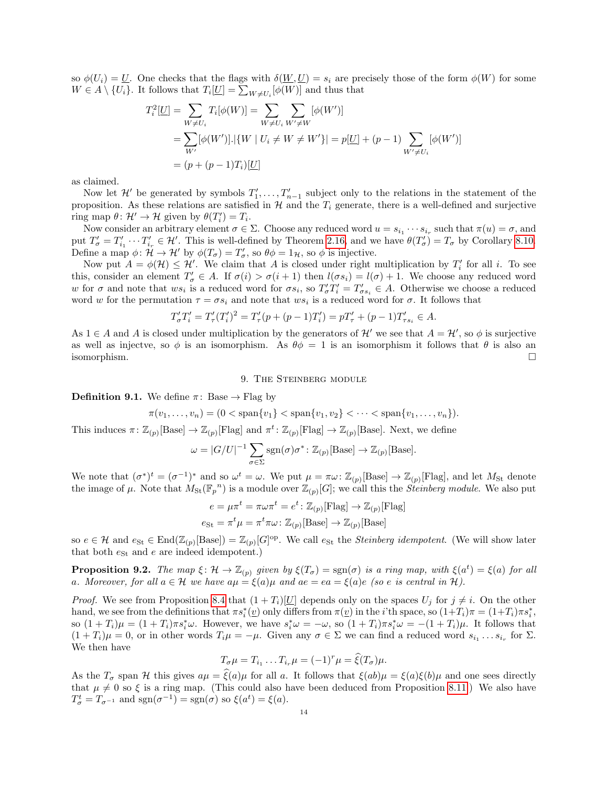so  $\phi(U_i) = \underline{U}$ . One checks that the flags with  $\delta(\underline{W}, \underline{U}) = s_i$  are precisely those of the form  $\phi(W)$  for some  $W \in A \setminus \{U_i\}$ . It follows that  $T_i[\underline{U}] = \sum_{W \neq U_i} [\phi(W)]$  and thus that

$$
T_i^2[\underline{U}] = \sum_{W \neq U_i} T_i[\phi(W)] = \sum_{W \neq U_i} \sum_{W' \neq W} [\phi(W')]
$$
  
= 
$$
\sum_{W'} [\phi(W')] \cdot |\{W \mid U_i \neq W \neq W'\}| = p[\underline{U}] + (p-1) \sum_{W' \neq U_i} [\phi(W')]
$$
  
= 
$$
(p + (p-1)T_i)[\underline{U}]
$$

as claimed.

Now let  $\mathcal{H}'$  be generated by symbols  $T'_1, \ldots, T'_{n-1}$  subject only to the relations in the statement of the proposition. As these relations are satisfied in  $\mathcal H$  and the  $T_i$  generate, there is a well-defined and surjective ring map  $\theta \colon \mathcal{H}' \to \mathcal{H}$  given by  $\theta(T'_i) = T_i$ .

Now consider an arbitrary element  $\sigma \in \Sigma$ . Choose any reduced word  $u = s_{i_1} \cdots s_{i_r}$  such that  $\pi(u) = \sigma$ , and put  $T'_{\sigma} = T'_{i_1} \cdots T'_{i_r} \in \mathcal{H}'$ . This is well-defined by Theorem [2.16,](#page-3-0) and we have  $\theta(T'_{\sigma}) = T_{\sigma}$  by Corollary [8.10.](#page-12-0) Define a map  $\phi \colon \mathcal{H} \to \mathcal{H}'$  by  $\phi(T_{\sigma}) = T'_{\sigma}$ , so  $\theta \phi = 1_{\mathcal{H}}$ , so  $\phi$  is injective.

Now put  $A = \phi(\mathcal{H}) \leq \mathcal{H}'$ . We claim that A is closed under right multiplication by  $T'_i$  for all i. To see this, consider an element  $T'_{\sigma} \in A$ . If  $\sigma(i) > \sigma(i+1)$  then  $l(\sigma s_i) = l(\sigma) + 1$ . We choose any reduced word w for  $\sigma$  and note that  $ws_i$  is a reduced word for  $\sigma s_i$ , so  $T'_\sigma T'_i = T'_{\sigma s_i} \in A$ . Otherwise we choose a reduced word w for the permutation  $\tau = \sigma s_i$  and note that ws<sub>i</sub> is a reduced word for  $\sigma$ . It follows that

$$
T'_{\sigma}T'_{i} = T'_{\tau}(T'_{i})^{2} = T'_{\tau}(p + (p-1)T'_{i}) = pT'_{\tau} + (p-1)T'_{\tau s_{i}} \in A.
$$

As  $1 \in A$  and A is closed under multiplication by the generators of H' we see that  $A = H'$ , so  $\phi$  is surjective as well as injectve, so  $\phi$  is an isomorphism. As  $\theta \phi = 1$  is an isomorphism it follows that  $\theta$  is also an isomorphism.

9. The Steinberg module

<span id="page-13-0"></span>**Definition 9.1.** We define  $\pi$ : Base  $\rightarrow$  Flag by

$$
\pi(v_1, \ldots, v_n) = (0 < \text{span}\{v_1\} < \text{span}\{v_1, v_2\} < \cdots < \text{span}\{v_1, \ldots, v_n\}).
$$

This induces  $\pi: \mathbb{Z}_{(p)}[\text{Base}] \to \mathbb{Z}_{(p)}[\text{Flag}]$  and  $\pi^t: \mathbb{Z}_{(p)}[\text{Flag}] \to \mathbb{Z}_{(p)}[\text{Base}]$ . Next, we define

$$
\omega = |G/U|^{-1} \sum_{\sigma \in \Sigma} \text{sgn}(\sigma) \sigma^* : \mathbb{Z}_{(p)}[\text{Base}] \to \mathbb{Z}_{(p)}[\text{Base}].
$$

We note that  $(\sigma^*)^t = (\sigma^{-1})^*$  and so  $\omega^t = \omega$ . We put  $\mu = \pi \omega \colon \mathbb{Z}_{(p)}[\text{Base}] \to \mathbb{Z}_{(p)}[\text{Flag}]$ , and let  $M_{\text{St}}$  denote the image of  $\mu$ . Note that  $M_{\text{St}}(\mathbb{F}_p^n)$  is a module over  $\mathbb{Z}_{(p)}[G]$ ; we call this the *Steinberg module*. We also put

$$
e = \mu \pi^t = \pi \omega \pi^t = e^t : \mathbb{Z}_{(p)}[\text{Flag}] \to \mathbb{Z}_{(p)}[\text{Flag}]
$$

$$
e_{\text{St}} = \pi^t \mu = \pi^t \pi \omega : \mathbb{Z}_{(p)}[\text{Base}] \to \mathbb{Z}_{(p)}[\text{Base}]
$$

so  $e \in \mathcal{H}$  and  $e_{\text{St}} \in \text{End}(\mathbb{Z}_{(p)}[\text{Base}]) = \mathbb{Z}_{(p)}[G]^\text{op}$ . We call  $e_{\text{St}}$  the *Steinberg idempotent*. (We will show later that both  $e_{\text{St}}$  and e are indeed idempotent.)

**Proposition 9.2.** The map  $\xi \colon \mathcal{H} \to \mathbb{Z}_{(p)}$  given by  $\xi(T_{\sigma}) = \text{sgn}(\sigma)$  is a ring map, with  $\xi(a^t) = \xi(a)$  for all a. Moreover, for all  $a \in \mathcal{H}$  we have  $a\mu = \xi(a)\mu$  and  $a e = ea = \xi(a)e$  (so e is central in  $\mathcal{H}$ ).

*Proof.* We see from Proposition [8.4](#page-11-0) that  $(1 + T_i)[U]$  depends only on the spaces  $U_i$  for  $j \neq i$ . On the other hand, we see from the definitions that  $\pi s_i^*(\underline{v})$  only differs from  $\pi(\underline{v})$  in the *i*'th space, so  $(1+T_i)\pi = (1+T_i)\pi s_i^*$ , so  $(1+T_i)\mu = (1+T_i)\pi s_i^*\omega$ . However, we have  $s_i^*\omega = -\omega$ , so  $(1+T_i)\pi s_i^*\omega = -(1+T_i)\mu$ . It follows that  $(1+T_i)\mu = 0$ , or in other words  $T_i\mu = -\mu$ . Given any  $\sigma \in \Sigma$  we can find a reduced word  $s_{i_1} \ldots s_{i_r}$  for  $\Sigma$ . We then have

$$
T_{\sigma}\mu = T_{i_1} \dots T_{i_r}\mu = (-1)^r \mu = \widehat{\xi}(T_{\sigma})\mu.
$$

As the  $T_{\sigma}$  span H this gives  $a\mu = \hat{\xi}(a)\mu$  for all a. It follows that  $\xi(ab)\mu = \xi(a)\xi(b)\mu$  and one sees directly that  $\mu \neq 0$  so  $\xi$  is a ring map. (This could also have been deduced from Proposition [8.11.](#page-12-1)) We also have  $T^t_\sigma = T_{\sigma^{-1}}$  and  $sgn(\sigma^{-1}) = sgn(\sigma)$  so  $\xi(a^t) = \xi(a)$ .